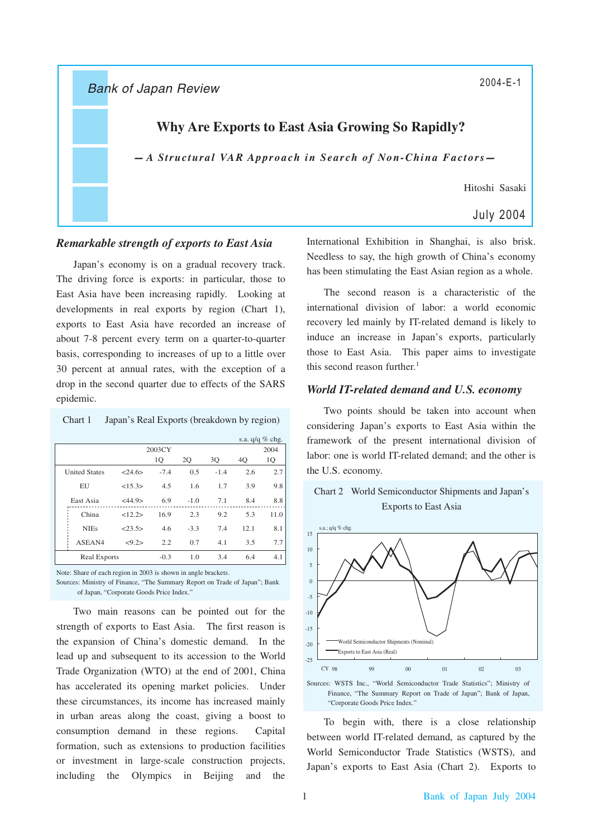Bank of Japan Review

# **Why Are Exports to East Asia Growing So Rapidly?**

 $-A$  *Structural VAR Approach in Search of Non-China Factors* 

Hitoshi Sasaki

# July 2004

### *Remarkable strength of exports to East Asia*

Japan's economy is on a gradual recovery track. The driving force is exports: in particular, those to East Asia have been increasing rapidly. Looking at developments in real exports by region (Chart 1), exports to East Asia have recorded an increase of about 7-8 percent every term on a quarter-to-quarter basis, corresponding to increases of up to a little over 30 percent at annual rates, with the exception of a drop in the second quarter due to effects of the SARS epidemic.

Chart 1 Japan's Real Exports (breakdown by region)

|                      |              |        |        |        |      | s.a. $q/q \%$ chg. |  |
|----------------------|--------------|--------|--------|--------|------|--------------------|--|
|                      | 2003CY       |        |        |        |      | 2004               |  |
|                      |              | 1Q     | 2Q     | 3Q     | 40   | 1Q                 |  |
| <b>United States</b> | $<$ 24.6 $>$ | $-7.4$ | 0.5    | $-1.4$ | 2.6  | 2.7                |  |
| EU                   | <15.3>       | 4.5    | 1.6    | 1.7    | 3.9  | 9.8                |  |
| East Asia            | <44.9>       | 6.9    | $-1.0$ | 7.1    | 8.4  | 8.8                |  |
| China                | <12.2>       | 16.9   | 2.3    | 9.2    | 5.3  | 11.0               |  |
| <b>NIEs</b>          | 23.5         | 4.6    | $-3.3$ | 7.4    | 12.1 | 8.1                |  |
| ASEAN4               | <9.2>        | 2.2    | 0.7    | 4.1    | 3.5  | 7.7                |  |
| <b>Real Exports</b>  |              | $-0.3$ | 1.0    | 3.4    | 6.4  | 4.1                |  |

Note: Share of each region in 2003 is shown in angle brackets. Sources: Ministry of Finance, "The Summary Report on Trade of Japan"; Bank of Japan, "Corporate Goods Price Index."

Two main reasons can be pointed out for the strength of exports to East Asia. The first reason is the expansion of China's domestic demand. In the lead up and subsequent to its accession to the World Trade Organization (WTO) at the end of 2001, China has accelerated its opening market policies. Under these circumstances, its income has increased mainly in urban areas along the coast, giving a boost to consumption demand in these regions. Capital formation, such as extensions to production facilities or investment in large-scale construction projects, including the Olympics in Beijing and the

International Exhibition in Shanghai, is also brisk. Needless to say, the high growth of China's economy has been stimulating the East Asian region as a whole.

The second reason is a characteristic of the international division of labor: a world economic recovery led mainly by IT-related demand is likely to induce an increase in Japan's exports, particularly those to East Asia. This paper aims to investigate this second reason further. 1

## *World IT-related demand and U.S. economy*

Two points should be taken into account when considering Japan's exports to East Asia within the framework of the present international division of labor: one is world IT-related demand; and the other is the U.S. economy.





Sources: WSTS Inc., "World Semiconductor Trade Statistics"; Ministry of Finance, "The Summary Report on Trade of Japan"; Bank of Japan, "Corporate Goods Price Index."

To begin with, there is a close relationship between world IT-related demand, as captured by the World Semiconductor Trade Statistics (WSTS), and Japan's exports to East Asia (Chart 2). Exports to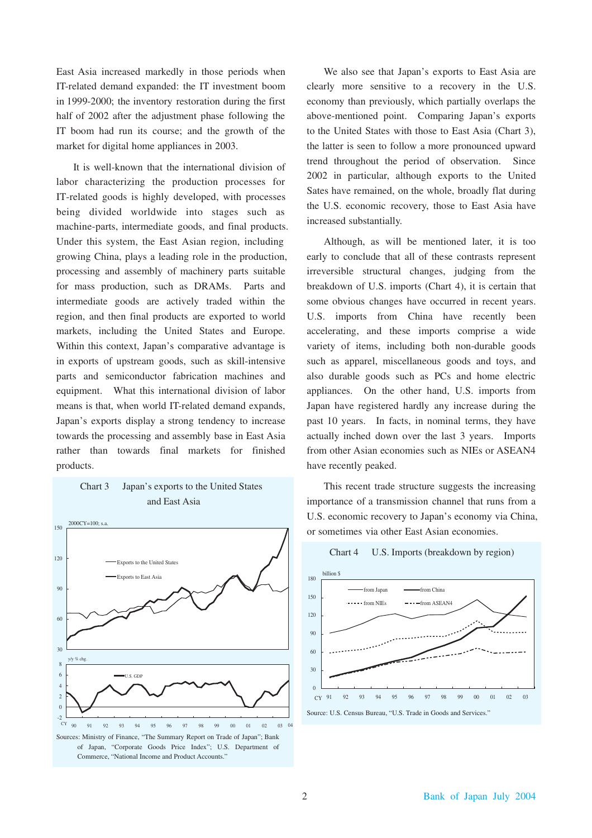East Asia increased markedly in those periods when IT-related demand expanded: the IT investment boom in 1999-2000; the inventory restoration during the first half of 2002 after the adjustment phase following the IT boom had run its course; and the growth of the market for digital home appliances in 2003.

It is well-known that the international division of labor characterizing the production processes for IT-related goods is highly developed, with processes being divided worldwide into stages such as machine-parts, intermediate goods, and final products. Under this system, the East Asian region, including growing China, plays a leading role in the production, processing and assembly of machinery parts suitable for mass production, such as DRAMs. Parts and intermediate goods are actively traded within the region, and then final products are exported to world markets, including the United States and Europe. Within this context, Japan's comparative advantage is in exports of upstream goods, such as skill-intensive parts and semiconductor fabrication machines and equipment. What this international division of labor means is that, when world IT-related demand expands, Japan's exports display a strong tendency to increase towards the processing and assembly base in East Asia rather than towards final markets for finished products.



We also see that Japan's exports to East Asia are clearly more sensitive to a recovery in the U.S. economy than previously, which partially overlaps the above-mentioned point. Comparing Japan's exports to the United States with those to East Asia (Chart 3), the latter is seen to follow a more pronounced upward trend throughout the period of observation. Since 2002 in particular, although exports to the United Sates have remained, on the whole, broadly flat during the U.S. economic recovery, those to East Asia have increased substantially.

Although, as will be mentioned later, it is too early to conclude that all of these contrasts represent irreversible structural changes, judging from the breakdown of U.S. imports (Chart 4), it is certain that some obvious changes have occurred in recent years. U.S. imports from China have recently been accelerating, and these imports comprise a wide variety of items, including both non-durable goods such as apparel, miscellaneous goods and toys, and also durable goods such as PCs and home electric appliances. On the other hand, U.S. imports from Japan have registered hardly any increase during the past 10 years. In facts, in nominal terms, they have actually inched down over the last 3 years. Imports from other Asian economies such as NIEs or ASEAN4 have recently peaked.

This recent trade structure suggests the increasing importance of a transmission channel that runs from a U.S. economic recovery to Japan's economy via China, or sometimes via other East Asian economies.



# Chart 4 U.S. Imports (breakdown by region)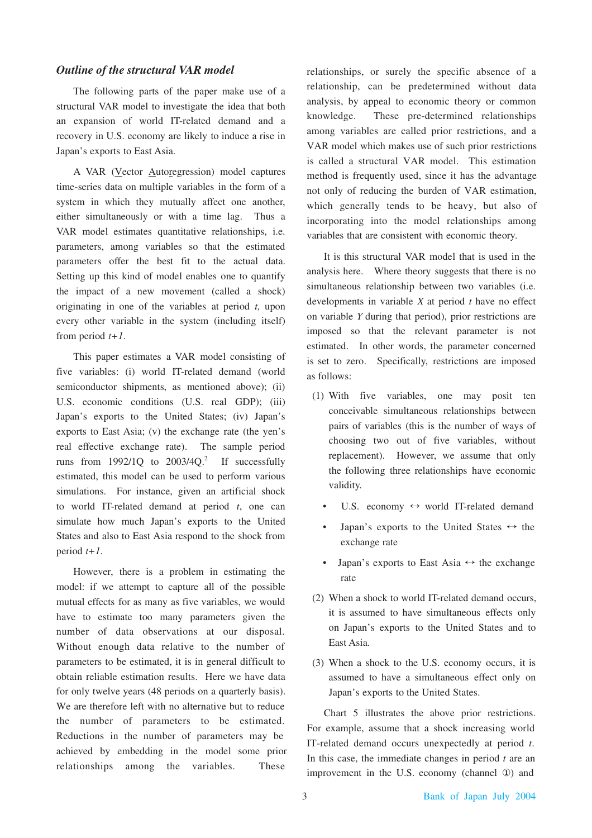# *Outline of the structural VAR model*

The following parts of the paper make use of a structural VAR model to investigate the idea that both an expansion of world IT-related demand and a recovery in U.S. economy are likely to induce a rise in Japan's exports to East Asia.

A VAR (Vector Autoregression) model captures time-series data on multiple variables in the form of a system in which they mutually affect one another, either simultaneously or with a time lag. Thus a VAR model estimates quantitative relationships, i.e. parameters, among variables so that the estimated parameters offer the best fit to the actual data. Setting up this kind of model enables one to quantify the impact of a new movement (called a shock) originating in one of the variables at period *t,* upon every other variable in the system (including itself) from period *t+1*.

This paper estimates a VAR model consisting of five variables: (i) world IT-related demand (world semiconductor shipments, as mentioned above); (ii) U.S. economic conditions (U.S. real GDP); (iii) Japan's exports to the United States; (iv) Japan's exports to East Asia; (v) the exchange rate (the yen's real effective exchange rate). The sample period runs from  $1992/1Q$  to  $2003/4Q$ <sup>2</sup> If successfully estimated, this model can be used to perform various simulations. For instance, given an artificial shock to world IT-related demand at period *t*, one can simulate how much Japan's exports to the United States and also to East Asia respond to the shock from period *t+1*.

However, there is a problem in estimating the model: if we attempt to capture all of the possible mutual effects for as many as five variables, we would have to estimate too many parameters given the number of data observations at our disposal. Without enough data relative to the number of parameters to be estimated, it is in general difficult to obtain reliable estimation results. Here we have data for only twelve years (48 periods on a quarterly basis). We are therefore left with no alternative but to reduce the number of parameters to be estimated. Reductions in the number of parameters may be achieved by embedding in the model some prior relationships among the variables. These

relationships, or surely the specific absence of a relationship, can be predetermined without data analysis, by appeal to economic theory or common knowledge. These pre-determined relationships among variables are called prior restrictions, and a VAR model which makes use of such prior restrictions is called a structural VAR model. This estimation method is frequently used, since it has the advantage not only of reducing the burden of VAR estimation, which generally tends to be heavy, but also of incorporating into the model relationships among variables that are consistent with economic theory.

It is this structural VAR model that is used in the analysis here. Where theory suggests that there is no simultaneous relationship between two variables (i.e. developments in variable *X* at period *t* have no effect on variable *Y* during that period), prior restrictions are imposed so that the relevant parameter is not estimated. In other words, the parameter concerned is set to zero. Specifically, restrictions are imposed as follows:

- (1) With five variables, one may posit ten conceivable simultaneous relationships between pairs of variables (this is the number of ways of choosing two out of five variables, without replacement). However, we assume that only the following three relationships have economic validity.
	- U.S. economy  $\leftrightarrow$  world IT-related demand
	- Japan's exports to the United States  $\leftrightarrow$  the exchange rate
	- Japan's exports to East Asia  $\leftrightarrow$  the exchange rate
- (2) When a shock to world IT-related demand occurs, it is assumed to have simultaneous effects only on Japan's exports to the United States and to East Asia.
- (3) When a shock to the U.S. economy occurs, it is assumed to have a simultaneous effect only on Japan's exports to the United States.

Chart 5 illustrates the above prior restrictions. For example, assume that a shock increasing world IT-related demand occurs unexpectedly at period *t*. In this case, the immediate changes in period *t* are an improvement in the U.S. economy (channel ①) and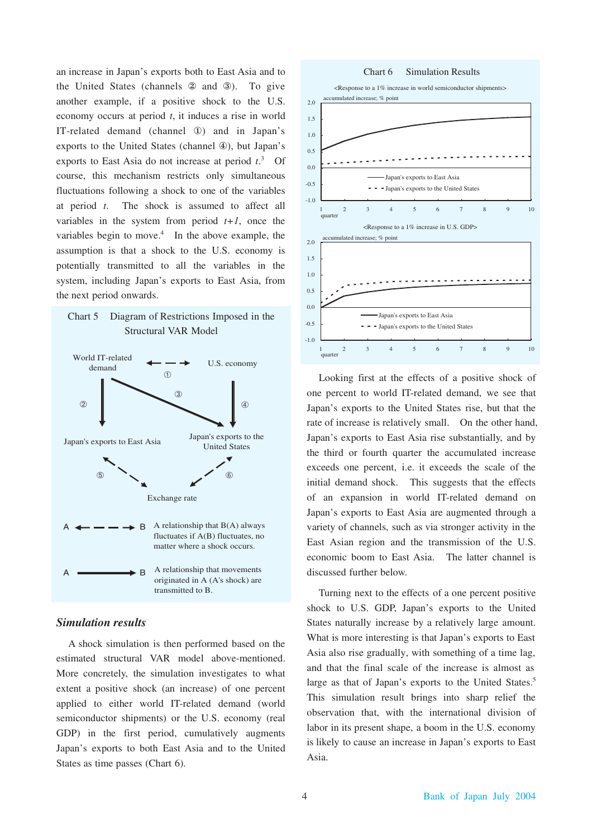an increase in Japan's exports both to East Asia and to the United States (channels ② and ③). To give another example, if a positive shock to the U.S. economy occurs at period *t*, it induces a rise in world IT-related demand (channel ①) and in Japan's exports to the United States (channel ④), but Japan's exports to East Asia do not increase at period *t*. 3 Of course, this mechanism restricts only simultaneous fluctuations following a shock to one of the variables at period *t*. The shock is assumed to affect all variables in the system from period  $t+1$ , once the variables begin to move.<sup>4</sup> In the above example, the assumption is that a shock to the U.S. economy is potentially transmitted to all the variables in the system, including Japan's exports to East Asia, from the next period onwards.

# Chart 5 Diagram of Restrictions Imposed in the Structural VAR Model



### *Simulation results*

A shock simulation is then performed based on the estimated structural VAR model above-mentioned. More concretely, the simulation investigates to what extent a positive shock (an increase) of one percent applied to either world IT-related demand (world semiconductor shipments) or the U.S. economy (real GDP) in the first period, cumulatively augments Japan's exports to both East Asia and to the United States as time passes (Chart 6).

#### Chart 6 Simulation Results



Looking first at the effects of a positive shock of one percent to world IT-related demand, we see that Japan's exports to the United States rise, but that the rate of increase is relatively small. On the other hand, Japan's exports to East Asia rise substantially, and by the third or fourth quarter the accumulated increase exceeds one percent, i.e. it exceeds the scale of the initial demand shock. This suggests that the effects of an expansion in world IT-related demand on Japan's exports to East Asia are augmented through a variety of channels, such as via stronger activity in the East Asian region and the transmission of the U.S. economic boom to East Asia. The latter channel is discussed further below.

Turning next to the effects of a one percent positive shock to U.S. GDP, Japan's exports to the United States naturally increase by a relatively large amount. What is more interesting is that Japan's exports to East Asia also rise gradually, with something of a time lag, and that the final scale of the increase is almost as large as that of Japan's exports to the United States.<sup>5</sup> This simulation result brings into sharp relief the observation that, with the international division of labor in its present shape, a boom in the U.S. economy is likely to cause an increase in Japan's exports to East Asia.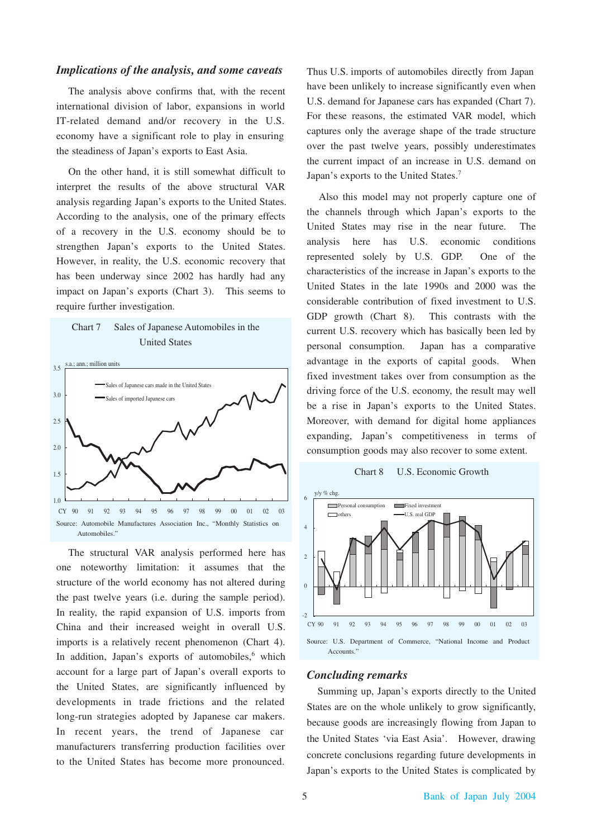## *Implications of the analysis, and some caveats*

The analysis above confirms that, with the recent international division of labor, expansions in world IT-related demand and/or recovery in the U.S. economy have a significant role to play in ensuring the steadiness of Japan's exports to East Asia.

On the other hand, it is still somewhat difficult to interpret the results of the above structural VAR analysis regarding Japan's exports to the United States. According to the analysis, one of the primary effects of a recovery in the U.S. economy should be to strengthen Japan's exports to the United States. However, in reality, the U.S. economic recovery that has been underway since 2002 has hardly had any impact on Japan's exports (Chart 3). This seems to require further investigation.





The structural VAR analysis performed here has one noteworthy limitation: it assumes that the structure of the world economy has not altered during the past twelve years (i.e. during the sample period). In reality, the rapid expansion of U.S. imports from China and their increased weight in overall U.S. imports is a relatively recent phenomenon (Chart 4). In addition, Japan's exports of automobiles,<sup>6</sup> which account for a large part of Japan's overall exports to the United States, are significantly influenced by developments in trade frictions and the related long-run strategies adopted by Japanese car makers. In recent years, the trend of Japanese car manufacturers transferring production facilities over to the United States has become more pronounced.

Thus U.S. imports of automobiles directly from Japan have been unlikely to increase significantly even when U.S. demand for Japanese cars has expanded (Chart 7). For these reasons, the estimated VAR model, which captures only the average shape of the trade structure over the past twelve years, possibly underestimates the current impact of an increase in U.S. demand on Japan's exports to the United States.<sup>7</sup>

Also this model may not properly capture one of the channels through which Japan's exports to the United States may rise in the near future. The analysis here has U.S. economic conditions represented solely by U.S. GDP. One of the characteristics of the increase in Japan's exports to the United States in the late 1990s and 2000 was the considerable contribution of fixed investment to U.S. GDP growth (Chart 8). This contrasts with the current U.S. recovery which has basically been led by personal consumption. Japan has a comparative advantage in the exports of capital goods. When fixed investment takes over from consumption as the driving force of the U.S. economy, the result may well be a rise in Japan's exports to the United States. Moreover, with demand for digital home appliances expanding, Japan's competitiveness in terms of consumption goods may also recover to some extent.

#### Chart 8 U.S. Economic Growth



### *Concluding remarks*

Summing up, Japan's exports directly to the United States are on the whole unlikely to grow significantly, because goods are increasingly flowing from Japan to the United States 'via East Asia'. However, drawing concrete conclusions regarding future developments in Japan's exports to the United States is complicated by